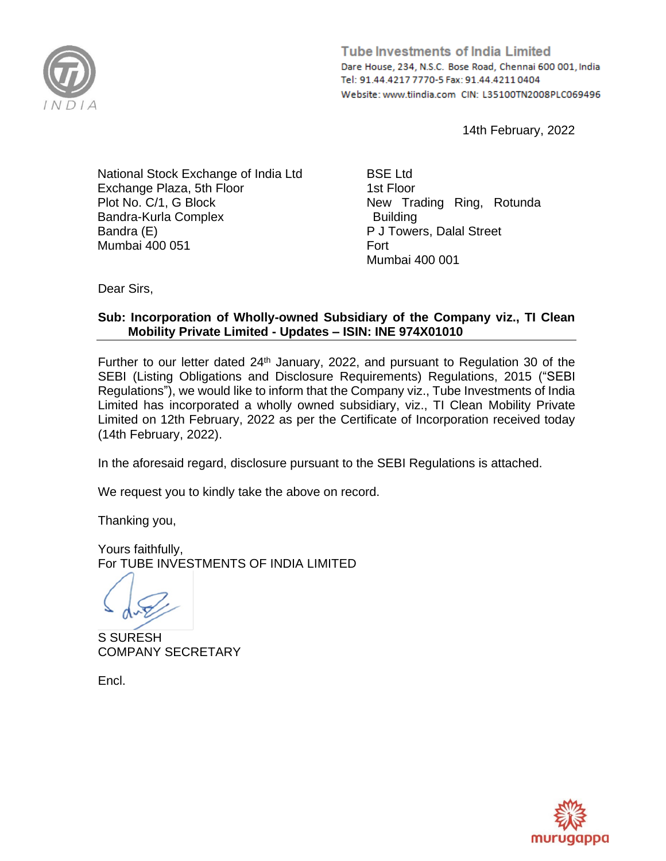

**Tube Investments of India Limited** Dare House, 234, N.S.C. Bose Road, Chennai 600 001, India Tel: 91.44.4217 7770-5 Fax: 91.44.4211 0404 Website: www.tiindia.com CIN: L35100TN2008PLC069496

14th February, 2022

National Stock Exchange of India Ltd Exchange Plaza, 5th Floor Plot No. C/1, G Block Bandra-Kurla Complex Bandra (E) Mumbai 400 051

BSE Ltd 1st Floor New Trading Ring, Rotunda Building P J Towers, Dalal Street Fort Mumbai 400 001

Dear Sirs,

## **Sub: Incorporation of Wholly-owned Subsidiary of the Company viz., TI Clean Mobility Private Limited - Updates – ISIN: INE 974X01010**

Further to our letter dated 24<sup>th</sup> January, 2022, and pursuant to Regulation 30 of the SEBI (Listing Obligations and Disclosure Requirements) Regulations, 2015 ("SEBI Regulations"), we would like to inform that the Company viz., Tube Investments of India Limited has incorporated a wholly owned subsidiary, viz., TI Clean Mobility Private Limited on 12th February, 2022 as per the Certificate of Incorporation received today (14th February, 2022).

In the aforesaid regard, disclosure pursuant to the SEBI Regulations is attached.

We request you to kindly take the above on record.

Thanking you,

Yours faithfully, For TUBE INVESTMENTS OF INDIA LIMITED

S SURESH COMPANY SECRETARY

Encl.

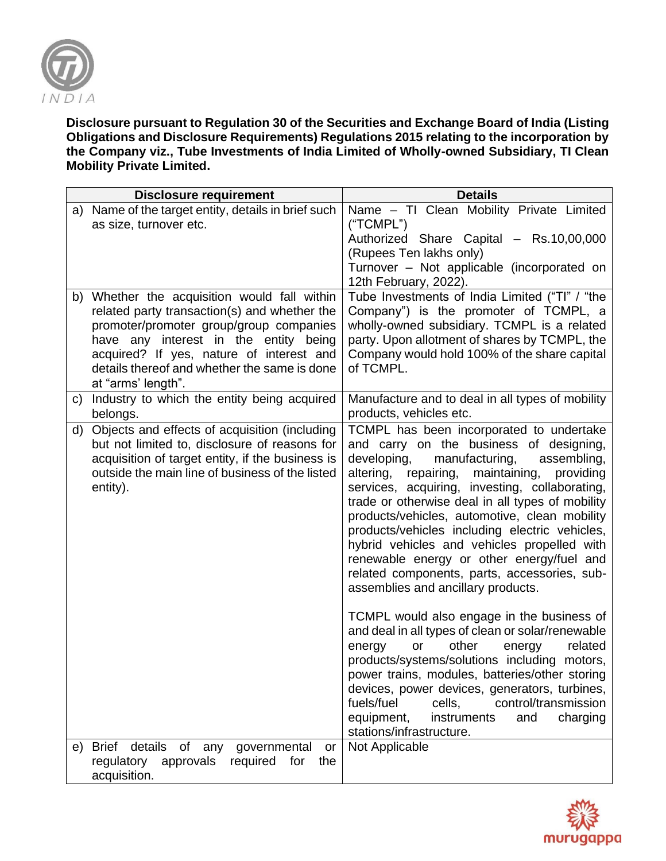

**Disclosure pursuant to Regulation 30 of the Securities and Exchange Board of India (Listing Obligations and Disclosure Requirements) Regulations 2015 relating to the incorporation by the Company viz., Tube Investments of India Limited of Wholly-owned Subsidiary, TI Clean Mobility Private Limited.** 

|    | <b>Disclosure requirement</b>                                                                                                                                                                                                                                                                      | <b>Details</b>                                                                                                                                                                                                                                                                                                                                                                                                                                                                                                                                                                                                                                                                                                                                                                                                                                                                                                                                                                          |
|----|----------------------------------------------------------------------------------------------------------------------------------------------------------------------------------------------------------------------------------------------------------------------------------------------------|-----------------------------------------------------------------------------------------------------------------------------------------------------------------------------------------------------------------------------------------------------------------------------------------------------------------------------------------------------------------------------------------------------------------------------------------------------------------------------------------------------------------------------------------------------------------------------------------------------------------------------------------------------------------------------------------------------------------------------------------------------------------------------------------------------------------------------------------------------------------------------------------------------------------------------------------------------------------------------------------|
|    | a) Name of the target entity, details in brief such<br>as size, turnover etc.                                                                                                                                                                                                                      | Name - TI Clean Mobility Private Limited<br>("TCMPL")<br>Authorized Share Capital - Rs.10,00,000<br>(Rupees Ten lakhs only)<br>Turnover - Not applicable (incorporated on<br>12th February, 2022).                                                                                                                                                                                                                                                                                                                                                                                                                                                                                                                                                                                                                                                                                                                                                                                      |
|    | b) Whether the acquisition would fall within<br>related party transaction(s) and whether the<br>promoter/promoter group/group companies<br>have any interest in the entity being<br>acquired? If yes, nature of interest and<br>details thereof and whether the same is done<br>at "arms' length". | Tube Investments of India Limited ("TI" / "the<br>Company") is the promoter of TCMPL, a<br>wholly-owned subsidiary. TCMPL is a related<br>party. Upon allotment of shares by TCMPL, the<br>Company would hold 100% of the share capital<br>of TCMPL.                                                                                                                                                                                                                                                                                                                                                                                                                                                                                                                                                                                                                                                                                                                                    |
| C) | Industry to which the entity being acquired<br>belongs.                                                                                                                                                                                                                                            | Manufacture and to deal in all types of mobility<br>products, vehicles etc.                                                                                                                                                                                                                                                                                                                                                                                                                                                                                                                                                                                                                                                                                                                                                                                                                                                                                                             |
| d) | Objects and effects of acquisition (including<br>but not limited to, disclosure of reasons for<br>acquisition of target entity, if the business is<br>outside the main line of business of the listed<br>entity).                                                                                  | TCMPL has been incorporated to undertake<br>and carry on the business of designing,<br>developing,<br>manufacturing,<br>assembling,<br>altering, repairing,<br>maintaining,<br>providing<br>services, acquiring, investing, collaborating,<br>trade or otherwise deal in all types of mobility<br>products/vehicles, automotive, clean mobility<br>products/vehicles including electric vehicles,<br>hybrid vehicles and vehicles propelled with<br>renewable energy or other energy/fuel and<br>related components, parts, accessories, sub-<br>assemblies and ancillary products.<br>TCMPL would also engage in the business of<br>and deal in all types of clean or solar/renewable<br>other<br>related<br>energy<br>or<br>energy<br>products/systems/solutions including motors,<br>power trains, modules, batteries/other storing<br>devices, power devices, generators, turbines,<br>fuels/fuel<br>control/transmission<br>cells,<br>equipment,<br>instruments<br>and<br>charging |
| e) | details<br><b>Brief</b><br>of any<br>governmental<br>or                                                                                                                                                                                                                                            | stations/infrastructure.<br>Not Applicable                                                                                                                                                                                                                                                                                                                                                                                                                                                                                                                                                                                                                                                                                                                                                                                                                                                                                                                                              |
|    | regulatory<br>approvals<br>required<br>for<br>the<br>acquisition.                                                                                                                                                                                                                                  |                                                                                                                                                                                                                                                                                                                                                                                                                                                                                                                                                                                                                                                                                                                                                                                                                                                                                                                                                                                         |